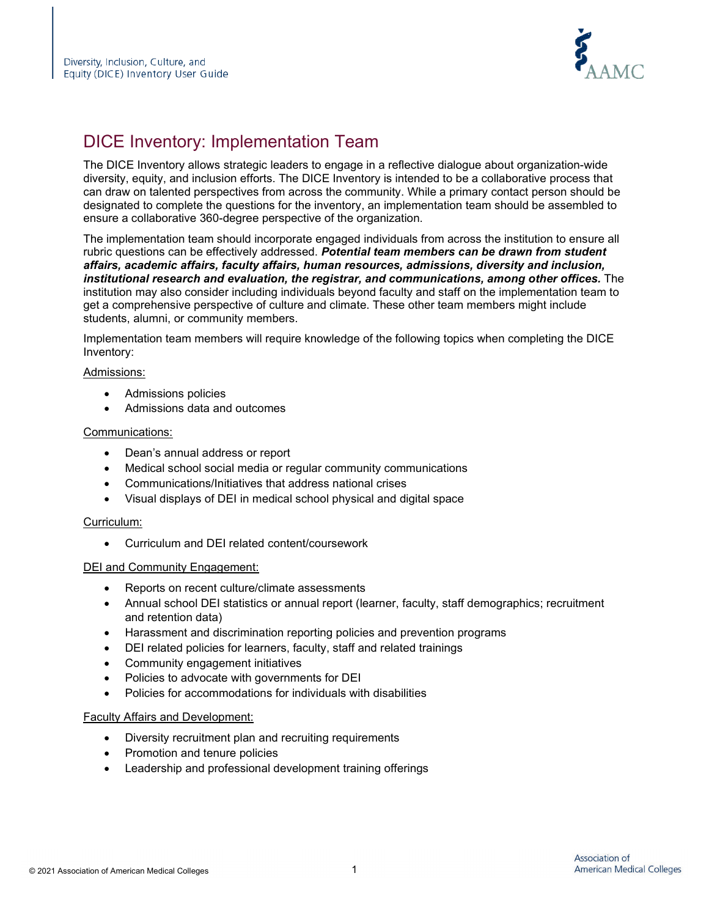

# DICE Inventory: Implementation Team

The DICE Inventory allows strategic leaders to engage in a reflective dialogue about organization-wide diversity, equity, and inclusion efforts. The DICE Inventory is intended to be a collaborative process that can draw on talented perspectives from across the community. While a primary contact person should be designated to complete the questions for the inventory, an implementation team should be assembled to ensure a collaborative 360-degree perspective of the organization.

The implementation team should incorporate engaged individuals from across the institution to ensure all rubric questions can be effectively addressed. *Potential team members can be drawn from student affairs, academic affairs, faculty affairs, human resources, admissions, diversity and inclusion, institutional research and evaluation, the registrar, and communications, among other offices.* The institution may also consider including individuals beyond faculty and staff on the implementation team to get a comprehensive perspective of culture and climate. These other team members might include students, alumni, or community members.

Implementation team members will require knowledge of the following topics when completing the DICE Inventory:

## Admissions:

- Admissions policies
- Admissions data and outcomes

## Communications:

- Dean's annual address or report
- Medical school social media or regular community communications
- Communications/Initiatives that address national crises
- Visual displays of DEI in medical school physical and digital space

#### Curriculum:

• Curriculum and DEI related content/coursework

#### DEI and Community Engagement:

- Reports on recent culture/climate assessments
- Annual school DEI statistics or annual report (learner, faculty, staff demographics; recruitment and retention data)
- Harassment and discrimination reporting policies and prevention programs
- DEI related policies for learners, faculty, staff and related trainings
- Community engagement initiatives
- Policies to advocate with governments for DEI
- Policies for accommodations for individuals with disabilities

#### Faculty Affairs and Development:

- Diversity recruitment plan and recruiting requirements
- Promotion and tenure policies
- Leadership and professional development training offerings